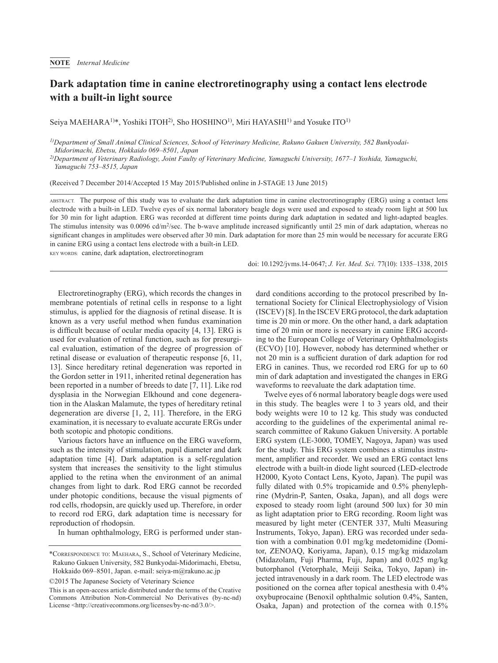## **Dark adaptation time in canine electroretinography using a contact lens electrode with a built-in light source**

Seiya MAEHARA<sup>1)\*</sup>, Yoshiki ITOH<sup>2)</sup>, Sho HOSHINO<sup>1)</sup>, Miri HAYASHI<sup>1)</sup> and Yosuke ITO<sup>1)</sup>

*1)Department of Small Animal Clinical Sciences, School of Veterinary Medicine, Rakuno Gakuen University, 582 Bunkyodai-Midorimachi, Ebetsu, Hokkaido 069–8501, Japan*

*2)Department of Veterinary Radiology, Joint Faulty of Veterinary Medicine, Yamaguchi University, 1677–1 Yoshida, Yamaguchi, Yamaguchi 753–8515, Japan*

(Received 7 December 2014/Accepted 15 May 2015/Published online in J-STAGE 13 June 2015)

ABSTRACT. The purpose of this study was to evaluate the dark adaptation time in canine electroretinography (ERG) using a contact lens electrode with a built-in LED. Twelve eyes of six normal laboratory beagle dogs were used and exposed to steady room light at 500 lux for 30 min for light adaption. ERG was recorded at different time points during dark adaptation in sedated and light-adapted beagles. The stimulus intensity was  $0.0096$  cd/m<sup>2</sup>/sec. The b-wave amplitude increased significantly until 25 min of dark adaptation, whereas no significant changes in amplitudes were observed after 30 min. Dark adaptation for more than 25 min would be necessary for accurate ERG in canine ERG using a contact lens electrode with a built-in LED.

KEY WORDS: canine, dark adaptation, electroretinogram

doi: 10.1292/jvms.14-0647; *J. Vet. Med. Sci.* 77(10): 1335–1338, 2015

Electroretinography (ERG), which records the changes in membrane potentials of retinal cells in response to a light stimulus, is applied for the diagnosis of retinal disease. It is known as a very useful method when fundus examination is difficult because of ocular media opacity [[4, 13](#page-2-0)]. ERG is used for evaluation of retinal function, such as for presurgical evaluation, estimation of the degree of progression of retinal disease or evaluation of therapeutic response [\[6, 11,](#page-2-1) [13](#page-2-1)]. Since hereditary retinal degeneration was reported in the Gordon setter in 1911, inherited retinal degeneration has been reported in a number of breeds to date [\[7, 11\]](#page-2-2). Like rod dysplasia in the Norwegian Elkhound and cone degeneration in the Alaskan Malamute, the types of hereditary retinal degeneration are diverse [[1, 2, 11\]](#page-2-3). Therefore, in the ERG examination, it is necessary to evaluate accurate ERGs under both scotopic and photopic conditions.

Various factors have an influence on the ERG waveform, such as the intensity of stimulation, pupil diameter and dark adaptation time [\[4](#page-2-0)]. Dark adaptation is a self-regulation system that increases the sensitivity to the light stimulus applied to the retina when the environment of an animal changes from light to dark. Rod ERG cannot be recorded under photopic conditions, because the visual pigments of rod cells, rhodopsin, are quickly used up. Therefore, in order to record rod ERG, dark adaptation time is necessary for reproduction of rhodopsin.

In human ophthalmology, ERG is performed under stan-

©2015 The Japanese Society of Veterinary Science

dard conditions according to the protocol prescribed by International Society for Clinical Electrophysiology of Vision (ISCEV) [[8\]](#page-3-0). In the ISCEV ERG protocol, the dark adaptation time is 20 min or more. On the other hand, a dark adaptation time of 20 min or more is necessary in canine ERG according to the European College of Veterinary Ophthalmologists (ECVO) [\[10\]](#page-3-1). However, nobody has determined whether or not 20 min is a sufficient duration of dark adaption for rod ERG in canines. Thus, we recorded rod ERG for up to 60 min of dark adaptation and investigated the changes in ERG waveforms to reevaluate the dark adaptation time.

Twelve eyes of 6 normal laboratory beagle dogs were used in this study. The beagles were 1 to 3 years old, and their body weights were 10 to 12 kg. This study was conducted according to the guidelines of the experimental animal research committee of Rakuno Gakuen University. A portable ERG system (LE-3000, TOMEY, Nagoya, Japan) was used for the study. This ERG system combines a stimulus instrument, amplifier and recorder. We used an ERG contact lens electrode with a built-in diode light sourced (LED-electrode H2000, Kyoto Contact Lens, Kyoto, Japan). The pupil was fully dilated with 0.5% tropicamide and 0.5% phenylephrine (Mydrin-P, Santen, Osaka, Japan), and all dogs were exposed to steady room light (around 500 lux) for 30 min as light adaptation prior to ERG recording. Room light was measured by light meter (CENTER 337, Multi Measuring Instruments, Tokyo, Japan). ERG was recorded under sedation with a combination 0.01 mg/kg medetomidine (Domitor, ZENOAQ, Koriyama, Japan), 0.15 mg/kg midazolam (Midazolam, Fuji Pharma, Fuji, Japan) and 0.025 mg/kg butorphanol (Vetorphale, Meiji Seika, Tokyo, Japan) injected intravenously in a dark room. The LED electrode was positioned on the cornea after topical anesthesia with 0.4% oxybuprocaine (Benoxil ophthalmic solution 0.4%, Santen, Osaka, Japan) and protection of the cornea with 0.15%

<sup>\*</sup>Correspondence to: Maehara, S., School of Veterinary Medicine, Rakuno Gakuen University, 582 Bunkyodai-Midorimachi, Ebetsu, Hokkaido 069–8501, Japan. e-mail: seiya-m@rakuno.ac.jp

This is an open-access article distributed under the terms of the Creative Commons Attribution Non-Commercial No Derivatives (by-nc-nd) License [<http://creativecommons.org/licenses/by-nc-nd/3.0/](http://creativecommons.org/licenses/by-nc-nd/3.0/)>.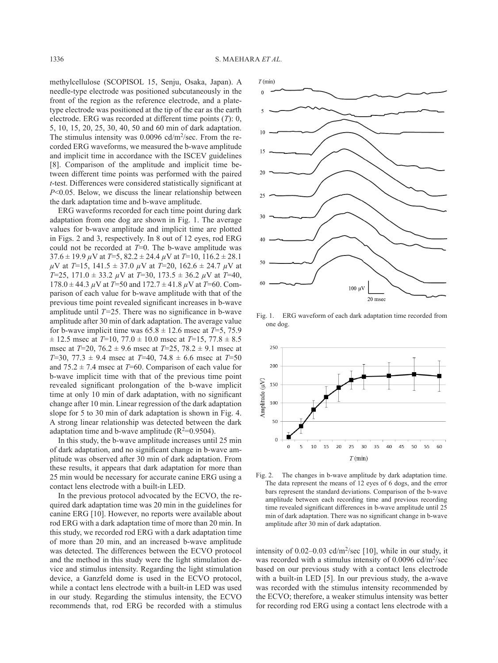methylcellulose (SCOPISOL 15, Senju, Osaka, Japan). A needle-type electrode was positioned subcutaneously in the front of the region as the reference electrode, and a platetype electrode was positioned at the tip of the ear as the earth electrode. ERG was recorded at different time points (*T*): 0, 5, 10, 15, 20, 25, 30, 40, 50 and 60 min of dark adaptation. The stimulus intensity was  $0.0096$  cd/m<sup>2</sup>/sec. From the recorded ERG waveforms, we measured the b-wave amplitude and implicit time in accordance with the ISCEV guidelines [[8](#page-3-0)]. Comparison of the amplitude and implicit time between different time points was performed with the paired *t*-test. Differences were considered statistically significant at *P*<0.05. Below, we discuss the linear relationship between the dark adaptation time and b-wave amplitude.

ERG waveforms recorded for each time point during dark adaptation from one dog are shown in Fig. 1. The average values for b-wave amplitude and implicit time are plotted in Figs. 2 and 3, respectively. In 8 out of 12 eyes, rod ERG could not be recorded at *T*=0. The b-wave amplitude was  $37.6 \pm 19.9 \,\mu\text{V}$  at  $T=5$ ,  $82.2 \pm 24.4 \,\mu\text{V}$  at  $T=10$ ,  $116.2 \pm 28.1$ *µ*V at *T*=15, 141.5 ± 37.0 *µ*V at *T*=20, 162.6 ± 24.7 *µ*V at *T*=25, 171.0 ± 33.2 *µ*V at *T*=30, 173.5 ± 36.2 *µ*V at *T*=40, 178.0 ± 44.3 *µ*V at *T*=50 and 172.7 ± 41.8 *µ*V at *T*=60. Comparison of each value for b-wave amplitude with that of the previous time point revealed significant increases in b-wave amplitude until *T=*25. There was no significance in b-wave amplitude after 30 min of dark adaptation. The average value for b-wave implicit time was  $65.8 \pm 12.6$  msec at  $T=5$ , 75.9  $\pm$  12.5 msec at *T*=10, 77.0  $\pm$  10.0 msec at *T*=15, 77.8  $\pm$  8.5 msec at *T*=20, 76.2 ± 9.6 msec at *T*=25, 78.2 ± 9.1 msec at *T*=30, 77.3 ± 9.4 msec at *T*=40, 74.8 ± 6.6 msec at *T*=50 and  $75.2 \pm 7.4$  msec at *T*=60. Comparison of each value for b-wave implicit time with that of the previous time point revealed significant prolongation of the b-wave implicit time at only 10 min of dark adaptation, with no significant change after 10 min. Linear regression of the dark adaptation slope for 5 to 30 min of dark adaptation is shown in Fig. 4. A strong linear relationship was detected between the dark adaptation time and b-wave amplitude  $(R^2=0.9504)$ .

In this study, the b-wave amplitude increases until 25 min of dark adaptation, and no significant change in b-wave amplitude was observed after 30 min of dark adaptation. From these results, it appears that dark adaptation for more than 25 min would be necessary for accurate canine ERG using a contact lens electrode with a built-in LED.

In the previous protocol advocated by the ECVO, the required dark adaptation time was 20 min in the guidelines for canine ERG [[10](#page-3-1)]. However, no reports were available about rod ERG with a dark adaptation time of more than 20 min. In this study, we recorded rod ERG with a dark adaptation time of more than 20 min, and an increased b-wave amplitude was detected. The differences between the ECVO protocol and the method in this study were the light stimulation device and stimulus intensity. Regarding the light stimulation device, a Ganzfeld dome is used in the ECVO protocol, while a contact lens electrode with a built-in LED was used in our study. Regarding the stimulus intensity, the ECVO recommends that, rod ERG be recorded with a stimulus



Fig. 1. ERG waveform of each dark adaptation time recorded from one dog.



Fig. 2. The changes in b-wave amplitude by dark adaptation time. The data represent the means of 12 eyes of 6 dogs, and the error bars represent the standard deviations. Comparison of the b-wave amplitude between each recording time and previous recording time revealed significant differences in b-wave amplitude until 25 min of dark adaptation. There was no significant change in b-wave amplitude after 30 min of dark adaptation.

intensity of  $0.02-0.03$  cd/m<sup>2</sup>/sec [\[10\]](#page-3-1), while in our study, it was recorded with a stimulus intensity of 0.0096 cd/m<sup>2</sup>/sec based on our previous study with a contact lens electrode with a built-in LED [\[5](#page-2-4)]. In our previous study, the a-wave was recorded with the stimulus intensity recommended by the ECVO; therefore, a weaker stimulus intensity was better for recording rod ERG using a contact lens electrode with a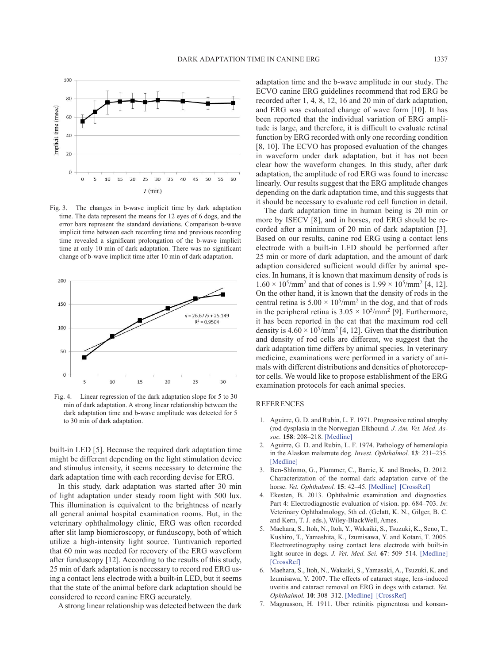

Fig. 3. The changes in b-wave implicit time by dark adaptation time. The data represent the means for 12 eyes of 6 dogs, and the error bars represent the standard deviations. Comparison b-wave implicit time between each recording time and previous recording time revealed a significant prolongation of the b-wave implicit time at only 10 min of dark adaptation. There was no significant change of b-wave implicit time after 10 min of dark adaptation.



Fig. 4. Linear regression of the dark adaptation slope for 5 to 30 min of dark adaptation. A strong linear relationship between the dark adaptation time and b-wave amplitude was detected for 5 to 30 min of dark adaptation.

built-in LED [\[5](#page-2-4)]. Because the required dark adaptation time might be different depending on the light stimulation device and stimulus intensity, it seems necessary to determine the dark adaptation time with each recording devise for ERG.

In this study, dark adaptation was started after 30 min of light adaptation under steady room light with 500 lux. This illumination is equivalent to the brightness of nearly all general animal hospital examination rooms. But, in the veterinary ophthalmology clinic, ERG was often recorded after slit lamp biomicroscopy, or funduscopy, both of which utilize a high-intensity light source. Tuntivanich reported that 60 min was needed for recovery of the ERG waveform after funduscopy [\[12](#page-3-2)]. According to the results of this study, 25 min of dark adaptation is necessary to record rod ERG using a contact lens electrode with a built-in LED, but it seems that the state of the animal before dark adaptation should be considered to record canine ERG accurately.

A strong linear relationship was detected between the dark

adaptation time and the b-wave amplitude in our study. The ECVO canine ERG guidelines recommend that rod ERG be recorded after 1, 4, 8, 12, 16 and 20 min of dark adaptation, and ERG was evaluated change of wave form [\[10\]](#page-3-1). It has been reported that the individual variation of ERG amplitude is large, and therefore, it is difficult to evaluate retinal function by ERG recorded with only one recording condition [\[8, 10\]](#page-3-0). The ECVO has proposed evaluation of the changes in waveform under dark adaptation, but it has not been clear how the waveform changes. In this study, after dark adaptation, the amplitude of rod ERG was found to increase linearly. Our results suggest that the ERG amplitude changes depending on the dark adaptation time, and this suggests that it should be necessary to evaluate rod cell function in detail.

The dark adaptation time in human being is 20 min or more by ISECV [\[8](#page-3-0)], and in horses, rod ERG should be recorded after a minimum of 20 min of dark adaptation [\[3](#page-2-5)]. Based on our results, canine rod ERG using a contact lens electrode with a built-in LED should be performed after 25 min or more of dark adaptation, and the amount of dark adaption considered sufficient would differ by animal species. In humans, it is known that maximum density of rods is  $1.60 \times 10^5$ /mm<sup>2</sup> and that of cones is  $1.99 \times 10^5$ /mm<sup>2</sup> [\[4, 12](#page-2-0)]. On the other hand, it is known that the density of rods in the central retina is  $5.00 \times 10^5/\text{mm}^2$  in the dog, and that of rods in the peripheral retina is  $3.05 \times 10^5/\text{mm}^2$  [[9](#page-3-3)]. Furthermore, it has been reported in the cat that the maximum rod cell density is  $4.60 \times 10^5/\text{mm}^2$  [[4, 12](#page-2-0)]. Given that the distribution and density of rod cells are different, we suggest that the dark adaptation time differs by animal species. In veterinary medicine, examinations were performed in a variety of animals with different distributions and densities of photoreceptor cells. We would like to propose establishment of the ERG examination protocols for each animal species.

## REFERENCES

- <span id="page-2-3"></span>1. Aguirre, G. D. and Rubin, L. F. 1971. Progressive retinal atrophy (rod dysplasia in the Norwegian Elkhound. *J. Am. Vet. Med. Assoc.* **158**: 208–218. [\[Medline\]](http://www.ncbi.nlm.nih.gov/pubmed/5101870?dopt=Abstract)
- 2. Aguirre, G. D. and Rubin, L. F. 1974. Pathology of hemeralopia in the Alaskan malamute dog. *Invest. Ophthalmol.* **13**: 231–235. [\[Medline\]](http://www.ncbi.nlm.nih.gov/pubmed/4544344?dopt=Abstract)
- <span id="page-2-5"></span>3. Ben-Shlomo, G., Plummer, C., Barrie, K. and Brooks, D. 2012. Characterization of the normal dark adaptation curve of the horse. *Vet. Ophthalmol.* **15**: 42–45. [\[Medline\]](http://www.ncbi.nlm.nih.gov/pubmed/22051221?dopt=Abstract) [\[CrossRef\]](http://dx.doi.org/10.1111/j.1463-5224.2011.00923.x)
- <span id="page-2-0"></span>4. Ekesten, B. 2013. Ophthalmic examination and diagnostics. Part 4: Electrodiagnostic evaluation of vision. pp. 684–703. *In*: Veterinary Ophthalmology, 5th ed. (Gelatt, K. N., Gilger, B. C. and Kern, T. J. eds.), Wiley-BlackWell, Ames.
- <span id="page-2-4"></span>5. Maehara, S., Itoh, N., Itoh, Y., Wakaiki, S., Tsuzuki, K., Seno, T., Kushiro, T., Yamashita, K., Izumisawa, Y. and Kotani, T. 2005. Electroretinography using contact lens electrode with built-in light source in dogs. *J. Vet. Med. Sci.* **67**: 509–514. [\[Medline\]](http://www.ncbi.nlm.nih.gov/pubmed/15942136?dopt=Abstract) [\[CrossRef\]](http://dx.doi.org/10.1292/jvms.67.509)
- <span id="page-2-1"></span>6. Maehara, S., Itoh, N., Wakaiki, S., Yamasaki, A., Tsuzuki, K. and Izumisawa, Y. 2007. The effects of cataract stage, lens-induced uveitis and cataract removal on ERG in dogs with cataract. *Vet. Ophthalmol.* **10**: 308–312. [\[Medline\]](http://www.ncbi.nlm.nih.gov/pubmed/17760711?dopt=Abstract) [\[CrossRef\]](http://dx.doi.org/10.1111/j.1463-5224.2007.00559.x)
- <span id="page-2-2"></span>7. Magnusson, H. 1911. Uber retinitis pigmentosa und konsan-